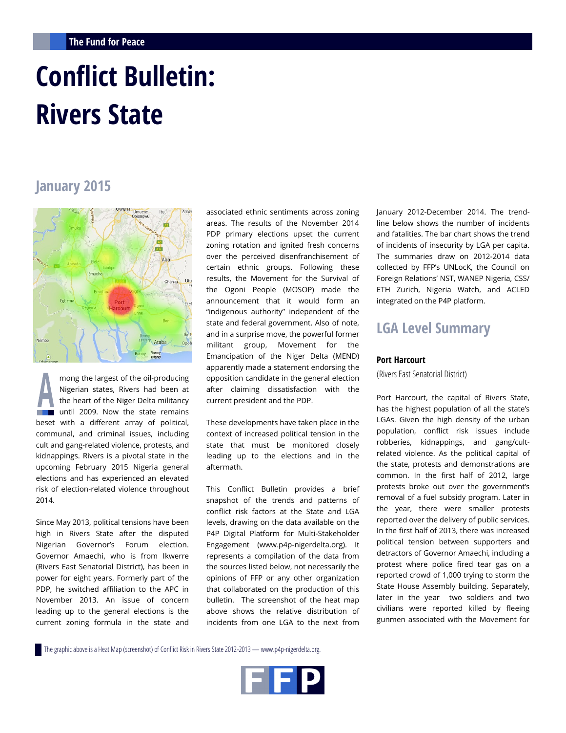# **Conflict Bulletin: Rivers State**

# **January 2015**



mong the largest of the oil-producing Nigerian states, Rivers had been at the heart of the Niger Delta militancy until 2009. Now the state remains beset with a different array of political, communal, and criminal issues, including cult and gang-related violence, protests, and kidnappings. Rivers is a pivotal state in the upcoming February 2015 Nigeria general elections and has experienced an elevated risk of election-related violence throughout 2014.

Since May 2013, political tensions have been high in Rivers State after the disputed Nigerian Governor's Forum election. Governor Amaechi, who is from Ikwerre (Rivers East Senatorial District), has been in power for eight years. Formerly part of the PDP, he switched affiliation to the APC in November 2013. An issue of concern leading up to the general elections is the current zoning formula in the state and

associated ethnic sentiments across zoning areas. The results of the November 2014 PDP primary elections upset the current zoning rotation and ignited fresh concerns over the perceived disenfranchisement of certain ethnic groups. Following these results, the Movement for the Survival of the Ogoni People (MOSOP) made the announcement that it would form an "indigenous authority" independent of the state and federal government. Also of note, and in a surprise move, the powerful former militant group, Movement for the Emancipation of the Niger Delta (MEND) apparently made a statement endorsing the opposition candidate in the general election after claiming dissatisfaction with the current president and the PDP.

These developments have taken place in the context of increased political tension in the state that must be monitored closely leading up to the elections and in the aftermath.

This Conflict Bulletin provides a brief snapshot of the trends and patterns of conflict risk factors at the State and LGA levels, drawing on the data available on the P4P Digital Platform for Multi-Stakeholder Engagement (www.p4p-nigerdelta.org). It represents a compilation of the data from the sources listed below, not necessarily the opinions of FFP or any other organization that collaborated on the production of this bulletin. The screenshot of the heat map above shows the relative distribution of incidents from one LGA to the next from January 2012-December 2014. The trendline below shows the number of incidents and fatalities. The bar chart shows the trend of incidents of insecurity by LGA per capita. The summaries draw on 2012-2014 data collected by FFP's UNLocK, the Council on Foreign Relations' NST, WANEP Nigeria, CSS/ ETH Zurich, Nigeria Watch, and ACLED integrated on the P4P platform.

# **LGA Level Summary**

### **Port Harcourt**

(Rivers East Senatorial District)

Port Harcourt, the capital of Rivers State, has the highest population of all the state's LGAs. Given the high density of the urban population, conflict risk issues include robberies, kidnappings, and gang/cultrelated violence. As the political capital of the state, protests and demonstrations are common. In the first half of 2012, large protests broke out over the government's removal of a fuel subsidy program. Later in the year, there were smaller protests reported over the delivery of public services. In the first half of 2013, there was increased political tension between supporters and detractors of Governor Amaechi, including a protest where police fired tear gas on a reported crowd of 1,000 trying to storm the State House Assembly building. Separately, later in the year two soldiers and two civilians were reported killed by fleeing gunmen associated with the Movement for

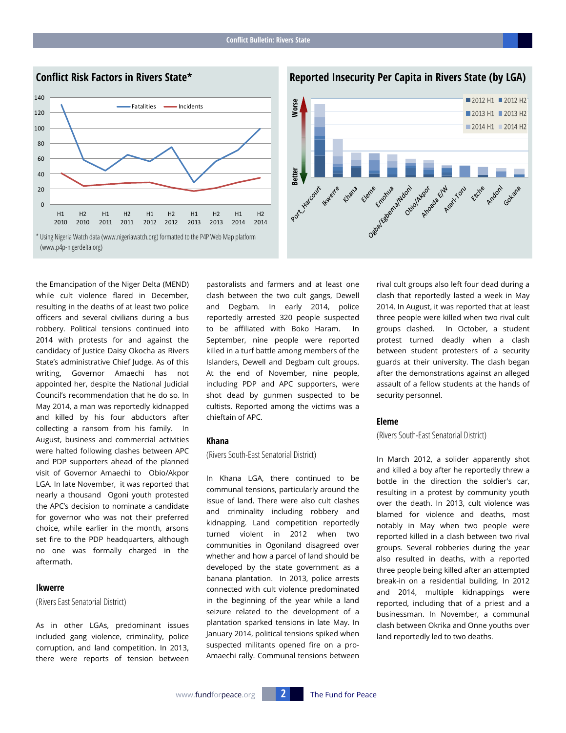

**Reported Insecurity Per Capita in Rivers State (by LGA)**



the Emancipation of the Niger Delta (MEND) while cult violence flared in December, resulting in the deaths of at least two police officers and several civilians during a bus robbery. Political tensions continued into 2014 with protests for and against the candidacy of Justice Daisy Okocha as Rivers State's administrative Chief Judge. As of this writing, Governor Amaechi has not appointed her, despite the National Judicial Council's recommendation that he do so. In May 2014, a man was reportedly kidnapped and killed by his four abductors after collecting a ransom from his family. In August, business and commercial activities were halted following clashes between APC and PDP supporters ahead of the planned visit of Governor Amaechi to Obio/Akpor LGA. In late November, it was reported that nearly a thousand Ogoni youth protested the APC's decision to nominate a candidate for governor who was not their preferred choice, while earlier in the month, arsons set fire to the PDP headquarters, although no one was formally charged in the aftermath.

#### **Ikwerre**

(Rivers East Senatorial District)

As in other LGAs, predominant issues included gang violence, criminality, police corruption, and land competition. In 2013, there were reports of tension between pastoralists and farmers and at least one clash between the two cult gangs, Dewell and Degbam. In early 2014, police reportedly arrested 320 people suspected to be affiliated with Boko Haram. In September, nine people were reported killed in a turf battle among members of the Islanders, Dewell and Degbam cult groups. At the end of November, nine people, including PDP and APC supporters, were shot dead by gunmen suspected to be cultists. Reported among the victims was a chieftain of APC.

#### **Khana**

(Rivers South-East Senatorial District)

In Khana LGA, there continued to be communal tensions, particularly around the issue of land. There were also cult clashes and criminality including robbery and kidnapping. Land competition reportedly turned violent in 2012 when two communities in Ogoniland disagreed over whether and how a parcel of land should be developed by the state government as a banana plantation. In 2013, police arrests connected with cult violence predominated in the beginning of the year while a land seizure related to the development of a plantation sparked tensions in late May. In January 2014, political tensions spiked when suspected militants opened fire on a pro-Amaechi rally. Communal tensions between rival cult groups also left four dead during a clash that reportedly lasted a week in May 2014. In August, it was reported that at least three people were killed when two rival cult groups clashed. In October, a student protest turned deadly when a clash between student protesters of a security guards at their university. The clash began after the demonstrations against an alleged assault of a fellow students at the hands of security personnel.

## **Eleme**

## (Rivers South-East Senatorial District)

In March 2012, a solider apparently shot and killed a boy after he reportedly threw a bottle in the direction the soldier's car, resulting in a protest by community youth over the death. In 2013, cult violence was blamed for violence and deaths, most notably in May when two people were reported killed in a clash between two rival groups. Several robberies during the year also resulted in deaths, with a reported three people being killed after an attempted break-in on a residential building. In 2012 and 2014, multiple kidnappings were reported, including that of a priest and a businessman. In November, a communal clash between Okrika and Onne youths over land reportedly led to two deaths.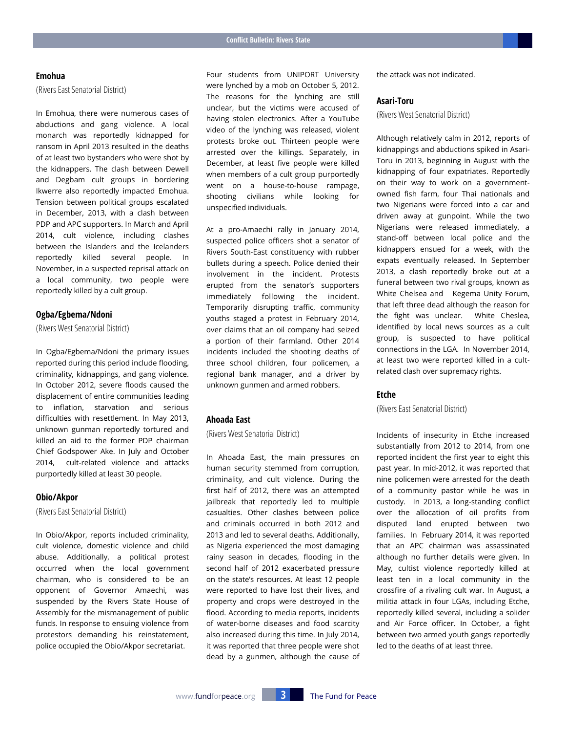# **Emohua**

(Rivers East Senatorial District)

In Emohua, there were numerous cases of abductions and gang violence. A local monarch was reportedly kidnapped for ransom in April 2013 resulted in the deaths of at least two bystanders who were shot by the kidnappers. The clash between Dewell and Degbam cult groups in bordering Ikwerre also reportedly impacted Emohua. Tension between political groups escalated in December, 2013, with a clash between PDP and APC supporters. In March and April 2014, cult violence, including clashes between the Islanders and the Icelanders reportedly killed several people. In November, in a suspected reprisal attack on a local community, two people were reportedly killed by a cult group.

#### **Ogba/Egbema/Ndoni**

(Rivers West Senatorial District)

In Ogba/Egbema/Ndoni the primary issues reported during this period include flooding, criminality, kidnappings, and gang violence. In October 2012, severe floods caused the displacement of entire communities leading to inflation, starvation and serious difficulties with resettlement. In May 2013, unknown gunman reportedly tortured and killed an aid to the former PDP chairman Chief Godspower Ake. In July and October 2014, cult-related violence and attacks purportedly killed at least 30 people.

#### **Obio/Akpor**

(Rivers East Senatorial District)

In Obio/Akpor, reports included criminality, cult violence, domestic violence and child abuse. Additionally, a political protest occurred when the local government chairman, who is considered to be an opponent of Governor Amaechi, was suspended by the Rivers State House of Assembly for the mismanagement of public funds. In response to ensuing violence from protestors demanding his reinstatement, police occupied the Obio/Akpor secretariat.

Four students from UNIPORT University were lynched by a mob on October 5, 2012. The reasons for the lynching are still unclear, but the victims were accused of having stolen electronics. After a YouTube video of the lynching was released, violent protests broke out. Thirteen people were arrested over the killings. Separately, in December, at least five people were killed when members of a cult group purportedly went on a house-to-house rampage, shooting civilians while looking for unspecified individuals.

At a pro-Amaechi rally in January 2014, suspected police officers shot a senator of Rivers South-East constituency with rubber bullets during a speech. Police denied their involvement in the incident. Protests erupted from the senator's supporters immediately following the incident. Temporarily disrupting traffic, community youths staged a protest in February 2014, over claims that an oil company had seized a portion of their farmland. Other 2014 incidents included the shooting deaths of three school children, four policemen, a regional bank manager, and a driver by unknown gunmen and armed robbers.

# **Ahoada East**

(Rivers West Senatorial District)

In Ahoada East, the main pressures on human security stemmed from corruption, criminality, and cult violence. During the first half of 2012, there was an attempted jailbreak that reportedly led to multiple casualties. Other clashes between police and criminals occurred in both 2012 and 2013 and led to several deaths. Additionally, as Nigeria experienced the most damaging rainy season in decades, flooding in the second half of 2012 exacerbated pressure on the state's resources. At least 12 people were reported to have lost their lives, and property and crops were destroyed in the flood. According to media reports, incidents of water-borne diseases and food scarcity also increased during this time. In July 2014, it was reported that three people were shot dead by a gunmen, although the cause of the attack was not indicated.

#### **Asari-Toru**

(Rivers West Senatorial District)

Although relatively calm in 2012, reports of kidnappings and abductions spiked in Asari-Toru in 2013, beginning in August with the kidnapping of four expatriates. Reportedly on their way to work on a governmentowned fish farm, four Thai nationals and two Nigerians were forced into a car and driven away at gunpoint. While the two Nigerians were released immediately, a stand-off between local police and the kidnappers ensued for a week, with the expats eventually released. In September 2013, a clash reportedly broke out at a funeral between two rival groups, known as White Chelsea and Kegema Unity Forum, that left three dead although the reason for the fight was unclear. White Cheslea, identified by local news sources as a cult group, is suspected to have political connections in the LGA. In November 2014, at least two were reported killed in a cultrelated clash over supremacy rights.

#### **Etche**

(Rivers East Senatorial District)

Incidents of insecurity in Etche increased substantially from 2012 to 2014, from one reported incident the first year to eight this past year. In mid-2012, it was reported that nine policemen were arrested for the death of a community pastor while he was in custody. In 2013, a long-standing conflict over the allocation of oil profits from disputed land erupted between two families. In February 2014, it was reported that an APC chairman was assassinated although no further details were given. In May, cultist violence reportedly killed at least ten in a local community in the crossfire of a rivaling cult war. In August, a militia attack in four LGAs, including Etche, reportedly killed several, including a solider and Air Force officer. In October, a fight between two armed youth gangs reportedly led to the deaths of at least three.